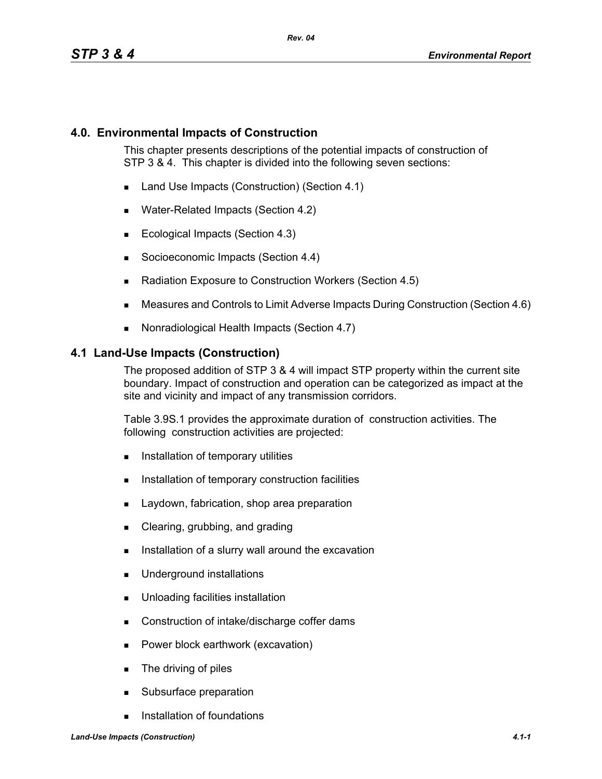### **4.0. Environmental Impacts of Construction**

This chapter presents descriptions of the potential impacts of construction of STP 3 & 4. This chapter is divided into the following seven sections:

- Land Use Impacts (Construction) (Section 4.1)
- **Water-Related Impacts (Section 4.2)**
- Ecological Impacts (Section 4.3)
- Socioeconomic Impacts (Section 4.4)
- Radiation Exposure to Construction Workers (Section 4.5)
- Measures and Controls to Limit Adverse Impacts During Construction (Section 4.6)
- Nonradiological Health Impacts (Section 4.7)

#### **4.1 Land-Use Impacts (Construction)**

The proposed addition of STP 3 & 4 will impact STP property within the current site boundary. Impact of construction and operation can be categorized as impact at the site and vicinity and impact of any transmission corridors.

Table 3.9S.1 provides the approximate duration of construction activities. The following construction activities are projected:

- **Installation of temporary utilities**
- **Installation of temporary construction facilities**
- **Laydown, fabrication, shop area preparation**
- **Clearing, grubbing, and grading**
- Installation of a slurry wall around the excavation
- **Underground installations**
- **Unloading facilities installation**
- Construction of intake/discharge coffer dams
- **Power block earthwork (excavation)**
- **The driving of piles**
- **Subsurface preparation**
- **Installation of foundations**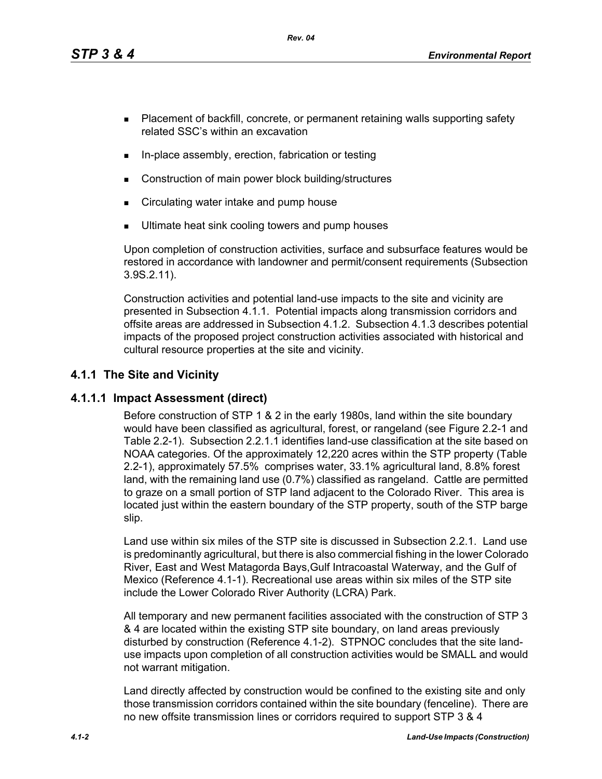*Rev. 04*

- **Placement of backfill, concrete, or permanent retaining walls supporting safety** related SSC's within an excavation
- In-place assembly, erection, fabrication or testing
- Construction of main power block building/structures
- **EXECT** Circulating water intake and pump house
- Ultimate heat sink cooling towers and pump houses

Upon completion of construction activities, surface and subsurface features would be restored in accordance with landowner and permit/consent requirements (Subsection 3.9S.2.11).

Construction activities and potential land-use impacts to the site and vicinity are presented in Subsection 4.1.1. Potential impacts along transmission corridors and offsite areas are addressed in Subsection 4.1.2. Subsection 4.1.3 describes potential impacts of the proposed project construction activities associated with historical and cultural resource properties at the site and vicinity.

# **4.1.1 The Site and Vicinity**

## **4.1.1.1 Impact Assessment (direct)**

Before construction of STP 1 & 2 in the early 1980s, land within the site boundary would have been classified as agricultural, forest, or rangeland (see Figure 2.2-1 and Table 2.2-1). Subsection 2.2.1.1 identifies land-use classification at the site based on NOAA categories. Of the approximately 12,220 acres within the STP property (Table 2.2-1), approximately 57.5% comprises water, 33.1% agricultural land, 8.8% forest land, with the remaining land use (0.7%) classified as rangeland. Cattle are permitted to graze on a small portion of STP land adjacent to the Colorado River. This area is located just within the eastern boundary of the STP property, south of the STP barge slip.

Land use within six miles of the STP site is discussed in Subsection 2.2.1. Land use is predominantly agricultural, but there is also commercial fishing in the lower Colorado River, East and West Matagorda Bays,Gulf Intracoastal Waterway, and the Gulf of Mexico (Reference 4.1-1). Recreational use areas within six miles of the STP site include the Lower Colorado River Authority (LCRA) Park.

All temporary and new permanent facilities associated with the construction of STP 3 & 4 are located within the existing STP site boundary, on land areas previously disturbed by construction (Reference 4.1-2). STPNOC concludes that the site landuse impacts upon completion of all construction activities would be SMALL and would not warrant mitigation.

Land directly affected by construction would be confined to the existing site and only those transmission corridors contained within the site boundary (fenceline). There are no new offsite transmission lines or corridors required to support STP 3 & 4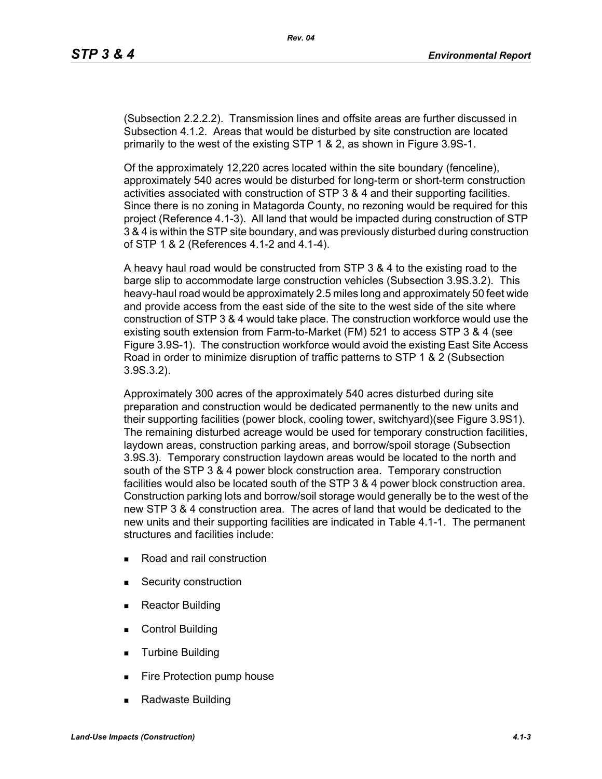(Subsection 2.2.2.2). Transmission lines and offsite areas are further discussed in Subsection 4.1.2. Areas that would be disturbed by site construction are located primarily to the west of the existing STP 1 & 2, as shown in Figure 3.9S-1.

Of the approximately 12,220 acres located within the site boundary (fenceline), approximately 540 acres would be disturbed for long-term or short-term construction activities associated with construction of STP 3 & 4 and their supporting facilities. Since there is no zoning in Matagorda County, no rezoning would be required for this project (Reference 4.1-3). All land that would be impacted during construction of STP 3 & 4 is within the STP site boundary, and was previously disturbed during construction of STP 1 & 2 (References 4.1-2 and 4.1-4).

A heavy haul road would be constructed from STP 3 & 4 to the existing road to the barge slip to accommodate large construction vehicles (Subsection 3.9S.3.2). This heavy-haul road would be approximately 2.5 miles long and approximately 50 feet wide and provide access from the east side of the site to the west side of the site where construction of STP 3 & 4 would take place. The construction workforce would use the existing south extension from Farm-to-Market (FM) 521 to access STP 3 & 4 (see Figure 3.9S-1). The construction workforce would avoid the existing East Site Access Road in order to minimize disruption of traffic patterns to STP 1 & 2 (Subsection 3.9S.3.2).

Approximately 300 acres of the approximately 540 acres disturbed during site preparation and construction would be dedicated permanently to the new units and their supporting facilities (power block, cooling tower, switchyard)(see Figure 3.9S1). The remaining disturbed acreage would be used for temporary construction facilities, laydown areas, construction parking areas, and borrow/spoil storage (Subsection 3.9S.3). Temporary construction laydown areas would be located to the north and south of the STP 3 & 4 power block construction area. Temporary construction facilities would also be located south of the STP 3 & 4 power block construction area. Construction parking lots and borrow/soil storage would generally be to the west of the new STP 3 & 4 construction area. The acres of land that would be dedicated to the new units and their supporting facilities are indicated in Table 4.1-1. The permanent structures and facilities include:

- Road and rail construction
- **Security construction**
- **Reactor Building**
- Control Building
- **Turbine Building**
- Fire Protection pump house
- Radwaste Building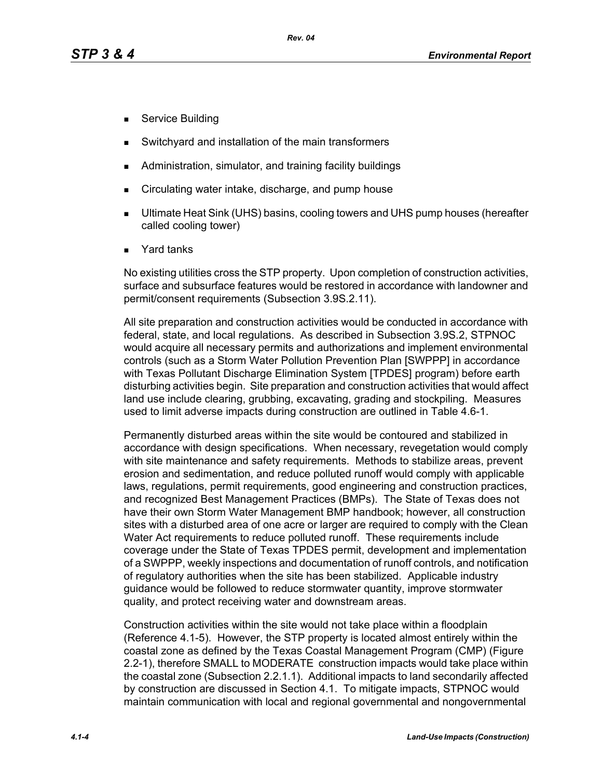- **Service Building**
- Switchyard and installation of the main transformers
- Administration, simulator, and training facility buildings
- Circulating water intake, discharge, and pump house
- Ultimate Heat Sink (UHS) basins, cooling towers and UHS pump houses (hereafter called cooling tower)
- Yard tanks

No existing utilities cross the STP property. Upon completion of construction activities, surface and subsurface features would be restored in accordance with landowner and permit/consent requirements (Subsection 3.9S.2.11).

All site preparation and construction activities would be conducted in accordance with federal, state, and local regulations. As described in Subsection 3.9S.2, STPNOC would acquire all necessary permits and authorizations and implement environmental controls (such as a Storm Water Pollution Prevention Plan [SWPPP] in accordance with Texas Pollutant Discharge Elimination System [TPDES] program) before earth disturbing activities begin. Site preparation and construction activities that would affect land use include clearing, grubbing, excavating, grading and stockpiling. Measures used to limit adverse impacts during construction are outlined in Table 4.6-1.

Permanently disturbed areas within the site would be contoured and stabilized in accordance with design specifications. When necessary, revegetation would comply with site maintenance and safety requirements. Methods to stabilize areas, prevent erosion and sedimentation, and reduce polluted runoff would comply with applicable laws, regulations, permit requirements, good engineering and construction practices, and recognized Best Management Practices (BMPs). The State of Texas does not have their own Storm Water Management BMP handbook; however, all construction sites with a disturbed area of one acre or larger are required to comply with the Clean Water Act requirements to reduce polluted runoff. These requirements include coverage under the State of Texas TPDES permit, development and implementation of a SWPPP, weekly inspections and documentation of runoff controls, and notification of regulatory authorities when the site has been stabilized. Applicable industry guidance would be followed to reduce stormwater quantity, improve stormwater quality, and protect receiving water and downstream areas.

Construction activities within the site would not take place within a floodplain (Reference 4.1-5). However, the STP property is located almost entirely within the coastal zone as defined by the Texas Coastal Management Program (CMP) (Figure 2.2-1), therefore SMALL to MODERATE construction impacts would take place within the coastal zone (Subsection 2.2.1.1). Additional impacts to land secondarily affected by construction are discussed in Section 4.1. To mitigate impacts, STPNOC would maintain communication with local and regional governmental and nongovernmental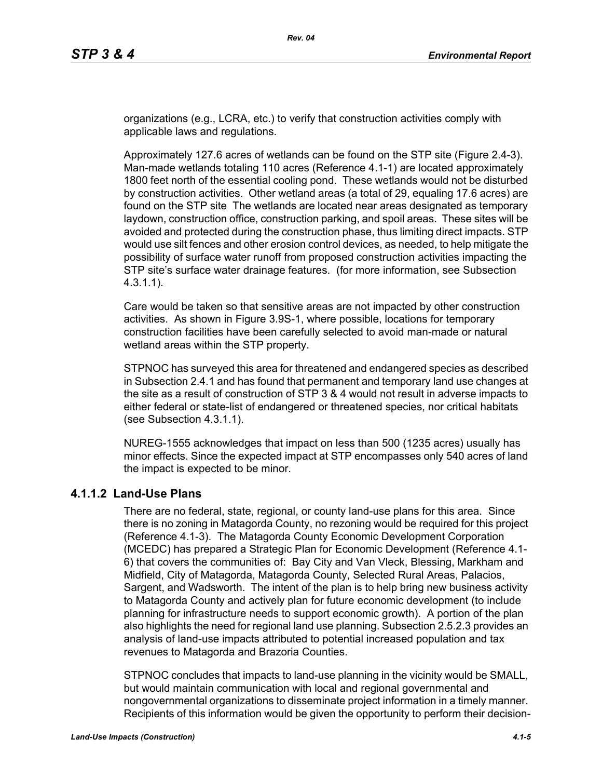organizations (e.g., LCRA, etc.) to verify that construction activities comply with applicable laws and regulations.

Approximately 127.6 acres of wetlands can be found on the STP site (Figure 2.4-3). Man-made wetlands totaling 110 acres (Reference 4.1-1) are located approximately 1800 feet north of the essential cooling pond. These wetlands would not be disturbed by construction activities. Other wetland areas (a total of 29, equaling 17.6 acres) are found on the STP site The wetlands are located near areas designated as temporary laydown, construction office, construction parking, and spoil areas. These sites will be avoided and protected during the construction phase, thus limiting direct impacts. STP would use silt fences and other erosion control devices, as needed, to help mitigate the possibility of surface water runoff from proposed construction activities impacting the STP site's surface water drainage features. (for more information, see Subsection 4.3.1.1).

Care would be taken so that sensitive areas are not impacted by other construction activities. As shown in Figure 3.9S-1, where possible, locations for temporary construction facilities have been carefully selected to avoid man-made or natural wetland areas within the STP property.

STPNOC has surveyed this area for threatened and endangered species as described in Subsection 2.4.1 and has found that permanent and temporary land use changes at the site as a result of construction of STP 3 & 4 would not result in adverse impacts to either federal or state-list of endangered or threatened species, nor critical habitats (see Subsection 4.3.1.1).

NUREG-1555 acknowledges that impact on less than 500 (1235 acres) usually has minor effects. Since the expected impact at STP encompasses only 540 acres of land the impact is expected to be minor.

### **4.1.1.2 Land-Use Plans**

There are no federal, state, regional, or county land-use plans for this area. Since there is no zoning in Matagorda County, no rezoning would be required for this project (Reference 4.1-3). The Matagorda County Economic Development Corporation (MCEDC) has prepared a Strategic Plan for Economic Development (Reference 4.1- 6) that covers the communities of: Bay City and Van Vleck, Blessing, Markham and Midfield, City of Matagorda, Matagorda County, Selected Rural Areas, Palacios, Sargent, and Wadsworth. The intent of the plan is to help bring new business activity to Matagorda County and actively plan for future economic development (to include planning for infrastructure needs to support economic growth). A portion of the plan also highlights the need for regional land use planning. Subsection 2.5.2.3 provides an analysis of land-use impacts attributed to potential increased population and tax revenues to Matagorda and Brazoria Counties.

STPNOC concludes that impacts to land-use planning in the vicinity would be SMALL, but would maintain communication with local and regional governmental and nongovernmental organizations to disseminate project information in a timely manner. Recipients of this information would be given the opportunity to perform their decision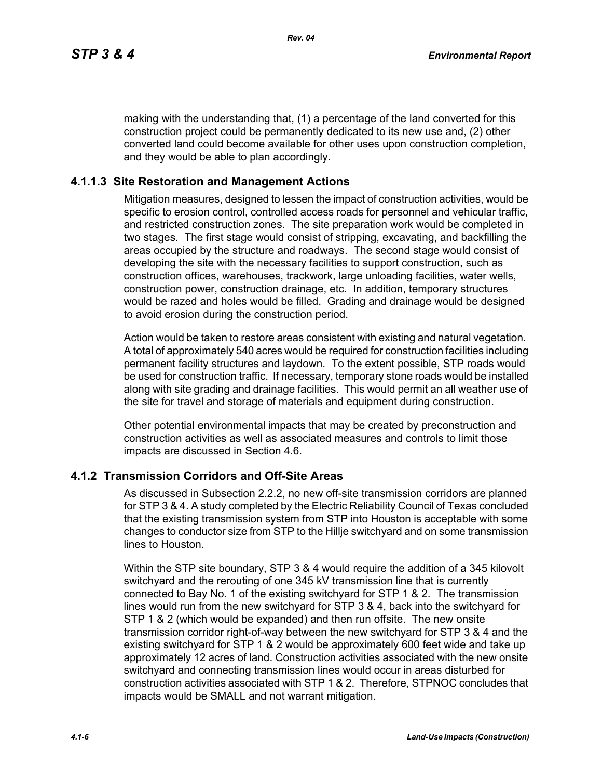making with the understanding that, (1) a percentage of the land converted for this construction project could be permanently dedicated to its new use and, (2) other converted land could become available for other uses upon construction completion, and they would be able to plan accordingly.

#### **4.1.1.3 Site Restoration and Management Actions**

Mitigation measures, designed to lessen the impact of construction activities, would be specific to erosion control, controlled access roads for personnel and vehicular traffic, and restricted construction zones. The site preparation work would be completed in two stages. The first stage would consist of stripping, excavating, and backfilling the areas occupied by the structure and roadways. The second stage would consist of developing the site with the necessary facilities to support construction, such as construction offices, warehouses, trackwork, large unloading facilities, water wells, construction power, construction drainage, etc. In addition, temporary structures would be razed and holes would be filled. Grading and drainage would be designed to avoid erosion during the construction period.

Action would be taken to restore areas consistent with existing and natural vegetation. A total of approximately 540 acres would be required for construction facilities including permanent facility structures and laydown. To the extent possible, STP roads would be used for construction traffic. If necessary, temporary stone roads would be installed along with site grading and drainage facilities. This would permit an all weather use of the site for travel and storage of materials and equipment during construction.

Other potential environmental impacts that may be created by preconstruction and construction activities as well as associated measures and controls to limit those impacts are discussed in Section 4.6.

### **4.1.2 Transmission Corridors and Off-Site Areas**

As discussed in Subsection 2.2.2, no new off-site transmission corridors are planned for STP 3 & 4. A study completed by the Electric Reliability Council of Texas concluded that the existing transmission system from STP into Houston is acceptable with some changes to conductor size from STP to the Hillje switchyard and on some transmission lines to Houston.

Within the STP site boundary, STP 3 & 4 would require the addition of a 345 kilovolt switchyard and the rerouting of one 345 kV transmission line that is currently connected to Bay No. 1 of the existing switchyard for STP 1 & 2. The transmission lines would run from the new switchyard for STP 3 & 4, back into the switchyard for STP 1 & 2 (which would be expanded) and then run offsite. The new onsite transmission corridor right-of-way between the new switchyard for STP 3 & 4 and the existing switchyard for STP 1 & 2 would be approximately 600 feet wide and take up approximately 12 acres of land. Construction activities associated with the new onsite switchyard and connecting transmission lines would occur in areas disturbed for construction activities associated with STP 1 & 2. Therefore, STPNOC concludes that impacts would be SMALL and not warrant mitigation.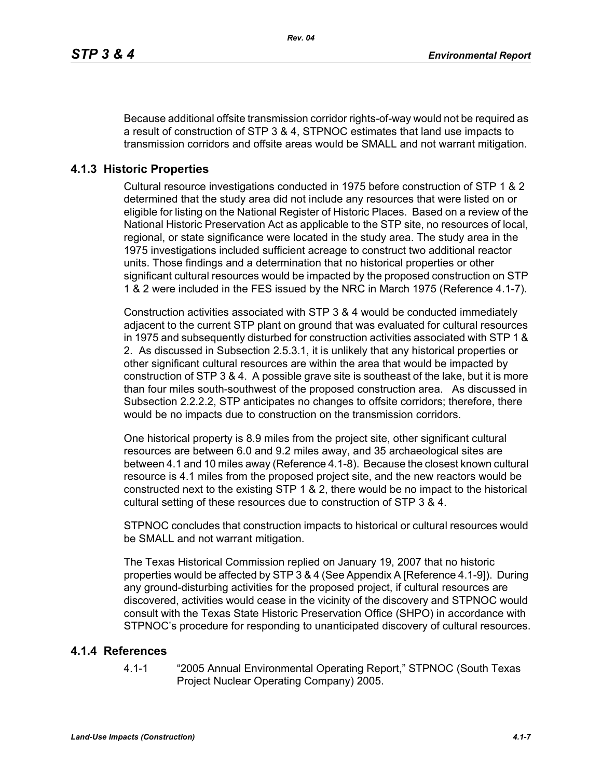Because additional offsite transmission corridor rights-of-way would not be required as a result of construction of STP 3 & 4, STPNOC estimates that land use impacts to transmission corridors and offsite areas would be SMALL and not warrant mitigation.

## **4.1.3 Historic Properties**

Cultural resource investigations conducted in 1975 before construction of STP 1 & 2 determined that the study area did not include any resources that were listed on or eligible for listing on the National Register of Historic Places. Based on a review of the National Historic Preservation Act as applicable to the STP site, no resources of local, regional, or state significance were located in the study area. The study area in the 1975 investigations included sufficient acreage to construct two additional reactor units. Those findings and a determination that no historical properties or other significant cultural resources would be impacted by the proposed construction on STP 1 & 2 were included in the FES issued by the NRC in March 1975 (Reference 4.1-7).

Construction activities associated with STP 3 & 4 would be conducted immediately adjacent to the current STP plant on ground that was evaluated for cultural resources in 1975 and subsequently disturbed for construction activities associated with STP 1 & 2. As discussed in Subsection 2.5.3.1, it is unlikely that any historical properties or other significant cultural resources are within the area that would be impacted by construction of STP 3 & 4. A possible grave site is southeast of the lake, but it is more than four miles south-southwest of the proposed construction area. As discussed in Subsection 2.2.2.2, STP anticipates no changes to offsite corridors; therefore, there would be no impacts due to construction on the transmission corridors.

One historical property is 8.9 miles from the project site, other significant cultural resources are between 6.0 and 9.2 miles away, and 35 archaeological sites are between 4.1 and 10 miles away (Reference 4.1-8). Because the closest known cultural resource is 4.1 miles from the proposed project site, and the new reactors would be constructed next to the existing STP 1 & 2, there would be no impact to the historical cultural setting of these resources due to construction of STP 3 & 4.

STPNOC concludes that construction impacts to historical or cultural resources would be SMALL and not warrant mitigation.

The Texas Historical Commission replied on January 19, 2007 that no historic properties would be affected by STP 3 & 4 (See Appendix A [Reference 4.1-9]). During any ground-disturbing activities for the proposed project, if cultural resources are discovered, activities would cease in the vicinity of the discovery and STPNOC would consult with the Texas State Historic Preservation Office (SHPO) in accordance with STPNOC's procedure for responding to unanticipated discovery of cultural resources.

### **4.1.4 References**

4.1-1 "2005 Annual Environmental Operating Report," STPNOC (South Texas Project Nuclear Operating Company) 2005.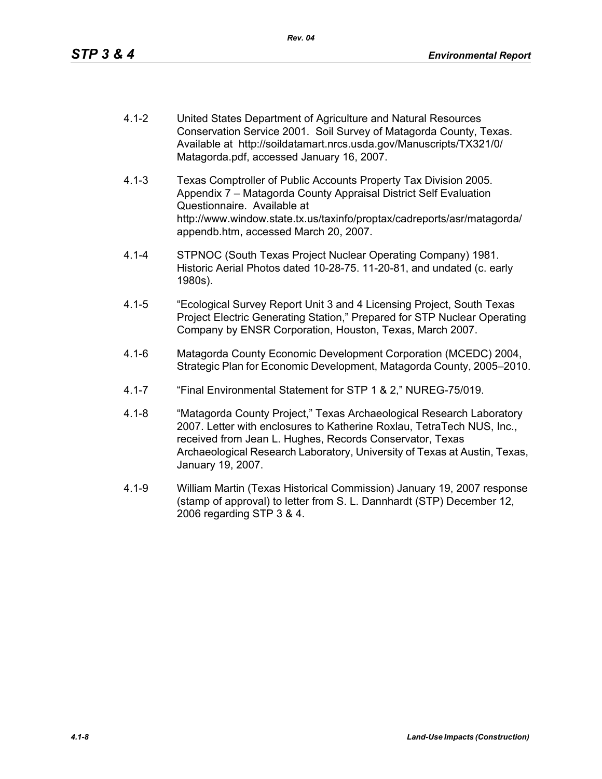- 4.1-2 United States Department of Agriculture and Natural Resources Conservation Service 2001. Soil Survey of Matagorda County, Texas. Available at http://soildatamart.nrcs.usda.gov/Manuscripts/TX321/0/ Matagorda.pdf, accessed January 16, 2007.
- 4.1-3 Texas Comptroller of Public Accounts Property Tax Division 2005. Appendix 7 – Matagorda County Appraisal District Self Evaluation Questionnaire. Available at http://www.window.state.tx.us/taxinfo/proptax/cadreports/asr/matagorda/ appendb.htm, accessed March 20, 2007.
- 4.1-4 STPNOC (South Texas Project Nuclear Operating Company) 1981. Historic Aerial Photos dated 10-28-75. 11-20-81, and undated (c. early 1980s).
- 4.1-5 "Ecological Survey Report Unit 3 and 4 Licensing Project, South Texas Project Electric Generating Station," Prepared for STP Nuclear Operating Company by ENSR Corporation, Houston, Texas, March 2007.
- 4.1-6 Matagorda County Economic Development Corporation (MCEDC) 2004, Strategic Plan for Economic Development, Matagorda County, 2005–2010.
- 4.1-7 "Final Environmental Statement for STP 1 & 2," NUREG-75/019.
- 4.1-8 "Matagorda County Project," Texas Archaeological Research Laboratory 2007. Letter with enclosures to Katherine Roxlau, TetraTech NUS, Inc., received from Jean L. Hughes, Records Conservator, Texas Archaeological Research Laboratory, University of Texas at Austin, Texas, January 19, 2007.
- 4.1-9 William Martin (Texas Historical Commission) January 19, 2007 response (stamp of approval) to letter from S. L. Dannhardt (STP) December 12, 2006 regarding STP 3 & 4.